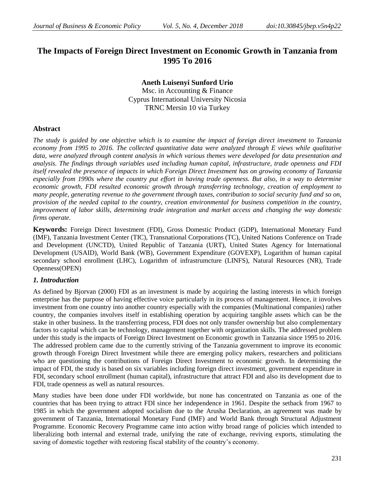# **The Impacts of Foreign Direct Investment on Economic Growth in Tanzania from 1995 To 2016**

**Aneth Luisenyi Sunford Urio**

Msc. in Accounting & Finance Cyprus International University Nicosia TRNC Mersin 10 via Turkey

## **Abstract**

*The study is guided by one objective which is to examine the impact of foreign direct investment to Tanzania economy from 1995 to 2016. The collected quantitative data were analyzed through E views while qualitative data, were analyzed through content analysis in which various themes were developed for data presentation and analysis. The findings through variables used including human capital, infrastructure, trade openness and FDI itself revealed the presence of impacts in which Foreign Direct Investment has on growing economy of Tanzania especially from 1990s where the country put effort in having trade openness. But also, in a way to determine economic growth, FDI resulted economic growth through transferring technology, creation of employment to many people, generating revenue to the government through taxes, contribution to social security fund and so on, provision of the needed capital to the country, creation environmental for business competition in the country, improvement of labor skills, determining trade integration and market access and changing the way domestic firms operate.* 

**Keywords:** Foreign Direct Investment (FDI), Gross Domestic Product (GDP), International Monetary Fund (IMF), Tanzania Investment Center (TIC), Transnational Corporations (TC), United Nations Conference on Trade and Development (UNCTD), United Republic of Tanzania (URT), United States Agency for International Development (USAID), World Bank (WB), Government Expenditure (GOVEXP), Logarithm of human capital secondary school enrollment (LHC), Logarithm of infrastrumcture (LINFS), Natural Resources (NR), Trade Openness(OPEN)

# *1. Introduction*

As defined by Bjorvan (2000) FDI as an investment is made by acquiring the lasting interests in which foreign enterprise has the purpose of having effective voice particularly in its process of management. Hence, it involves investment from one country into another country especially with the companies (Multinational companies) rather country, the companies involves itself in establishing operation by acquiring tangible assets which can be the stake in other business. In the transferring process, FDI does not only transfer ownership but also complementary factors to capital which can be technology, management together with organization skills. The addressed problem under this study is the impacts of Foreign Direct Investment on Economic growth in Tanzania since 1995 to 2016. The addressed problem came due to the currently striving of the Tanzania government to improve its economic growth through Foreign Direct Investment while there are emerging policy makers, researchers and politicians who are questioning the contributions of Foreign Direct Investment to economic growth. In determining the impact of FDI, the study is based on six variables including foreign direct investment, government expenditure in FDI, secondary school enrollment (human capital), infrastructure that attract FDI and also its development due to FDI, trade openness as well as natural resources.

Many studies have been done under FDI worldwide, but none has concentrated on Tanzania as one of the countries that has been trying to attract FDI since her independence in 1961. Despite the setback from 1967 to 1985 in which the government adopted socialism due to the Arusha Declaration, an agreement was made by government of Tanzania, International Monetary Fund (IMF) and World Bank through Structural Adjustment Programme. Economic Recovery Programme came into action withy broad range of policies which intended to liberalizing both internal and external trade, unifying the rate of exchange, reviving exports, stimulating the saving of domestic together with restoring fiscal stability of the country's economy.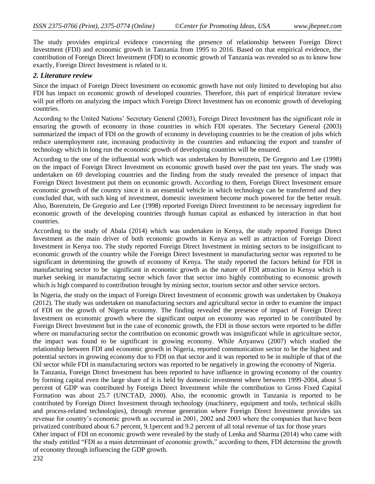The study provides empirical evidence concerning the presence of relationship between Foreign Direct Investment (FDI) and economic growth in Tanzania from 1995 to 2016. Based on that empirical evidence, the contribution of Foreign Direct Investment (FDI) to economic growth of Tanzania was revealed so as to know how exactly, Foreign Direct Investment is related to it.

### *2. Literature review*

Since the impact of Foreign Direct Investment on economic growth have not only limited to developing but also FDI has impact on economic growth of developed countries. Therefore, this part of empirical literature review will put efforts on analyzing the impact which Foreign Direct Investment has on economic growth of developing countries.

According to the United Nations' Secretary General (2003), Foreign Direct Investment has the significant role in ensuring the growth of economy in those countries in which FDI operates. The Secretary General (2003) summarized the impact of FDI on the growth of economy in developing countries to be the creation of jobs which reduce unemployment rate, increasing productivity in the countries and enhancing the export and transfer of technology which in long run the economic growth of developing countries will be ensured.

According to the one of the influential work which was undertaken by Borenztein, De Gregorio and Lee (1998) on the impact of Foreign Direct Investment on economic growth based over the past ten years. The study was undertaken on 69 developing countries and the finding from the study revealed the presence of impact that Foreign Direct Investment put them on economic growth. According to them, Foreign Direct Investment ensure economic growth of the country since it is an essential vehicle in which technology can be transferred and they concluded that, with such king of investment, domestic investment become much powered for the better result. Also, Borenztein, De Gregorio and Lee (1998) reported Foreign Direct Investment to be necessary ingredient for economic growth of the developing countries through human capital as enhanced by interaction in that host countries.

According to the study of Abala (2014) which was undertaken in Kenya, the study reported Foreign Direct Investment as the main driver of both economic growths in Kenya as well as attraction of Foreign Direct Investment in Kenya too. The study reported Foreign Direct Investment in mining sectors to be insignificant to economic growth of the country while the Foreign Direct Investment in manufacturing sector was reported to be significant in determining the growth of economy of Kenya. The study reported the factors behind for FDI in manufacturing sector to be significant in economic growth as the nature of FDI attraction in Kenya which is market seeking in manufacturing sector which favor that sector into highly contributing to economic growth which is high compared to contribution brought by mining sector, tourism sector and other service sectors.

In Nigeria, the study on the impact of Foreign Direct Investment of economic growth was undertaken by Onakoya (2012). The study was undertaken on manufacturing sectors and agricultural sector in order to examine the impact of FDI on the growth of Nigeria economy. The finding revealed the presence of impact of Foreign Direct Investment on economic growth where the significant output on economy was reported to be contributed by Foreign Direct Investment but in the case of economic growth, the FDI in those sectors were reported to be differ where on manufacturing sector the contribution on economic growth was insignificant while in agriculture sector, the impact was found to be significant in growing economy. While Anyanwu (2007) which studied the relationship between FDI and economic growth in Nigeria, reported communication sector to be the highest and potential sectors in growing economy due to FDI on that sector and it was reported to be in multiple of that of the Oil sector while FDI in manufacturing sectors was reported to be negatively in growing the economy of Nigeria.

In Tanzania, Foreign Direct Investment has been reported to have influence in growing economy of the country by forming capital even the large share of it is held by domestic investment where between 1999-2004, about 5 percent of GDP was contributed by Foreign Direct Investment while the contribution to Gross Fixed Capital Formation was about 25.7 (UNCTAD, 2000). Also, the economic growth in Tanzania is reported to be contributed by Foreign Direct Investment through technology (machinery, equipment and tools, technical skills and process-related technologies), through revenue generation where Foreign Direct Investment provides tax revenue for country's economic growth as occurred in 2001, 2002 and 2003 where the companies that have been privatized contributed about 6.7 percent, 9.1percent and 9.2 percent of all total revenue of tax for those years

Other impact of FDI on economic growth were revealed by the study of Lenka and Sharma (2014) who came with the study entitled "FDI as a main determinant of economic growth," according to them, FDI determine the growth of economy through influencing the GDP growth.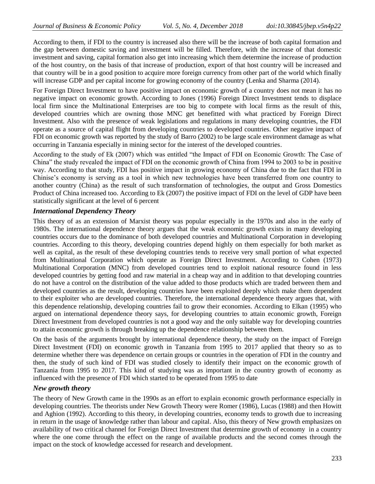According to them, if FDI to the country is increased also there will be the increase of both capital formation and the gap between domestic saving and investment will be filled. Therefore, with the increase of that domestic investment and saving, capital formation also get into increasing which them determine the increase of production of the host country, on the basis of that increase of production, export of that host country will be increased and that country will be in a good position to acquire more foreign currency from other part of the world which finally will increase GDP and per capital income for growing economy of the country (Lenka and Sharma (2014).

For Foreign Direct Investment to have positive impact on economic growth of a country does not mean it has no negative impact on economic growth. According to Jones (1996) Foreign Direct Investment tends to displace local firm since the Multinational Enterprises are too big to compete with local firms as the result of this, developed countries which are owning those MNC get benefitted with what practiced by Foreign Direct Investment. Also with the presence of weak legislations and regulations in many developing countries, the FDI operate as a source of capital flight from developing countries to developed countries. Other negative impact of FDI on economic growth was reported by the study of Barro (2002) to be large scale environment damage as what occurring in Tanzania especially in mining sector for the interest of the developed countries.

According to the study of Ek (2007) which was entitled "the Impact of FDI on Economic Growth: The Case of China" the study revealed the impact of FDI on the economic growth of China from 1994 to 2003 to be in positive way. According to that study, FDI has positive impact in growing economy of China due to the fact that FDI in Chinise's economy is serving as a tool in which new technologies have been transferred from one country to another country (China) as the result of such transformation of technologies, the output and Gross Domestics Product of China increased too. According to Ek (2007) the positive impact of FDI on the level of GDP have been statistically significant at the level of 6 percent

### *International Dependency Theory*

This theory of as an extension of Marxist theory was popular especially in the 1970s and also in the early of 1980s. The international dependence theory argues that the weak economic growth exists in many developing countries occurs due to the dominance of both developed countries and Multinational Corporation in developing countries. According to this theory, developing countries depend highly on them especially for both market as well as capital, as the result of these developing countries tends to receive very small portion of what expected from Multinational Corporation which operate as Foreign Direct Investment. According to Cohen (1973) Multinational Corporation (MNC) from developed countries tend to exploit national resource found in less developed countries by getting food and raw material in a cheap way and in addition to that developing countries do not have a control on the distribution of the value added to those products which are traded between them and developed countries as the result, developing countries have been exploited deeply which make them dependent to their exploiter who are developed countries. Therefore, the international dependence theory argues that, with this dependence relationship, developing countries fail to grow their economies. According to Elkan (1995) who argued on international dependence theory says, for developing countries to attain economic growth, Foreign Direct Investment from developed countries is not a good way and the only suitable way for developing countries to attain economic growth is through breaking up the dependence relationship between them.

On the basis of the arguments brought by international dependence theory, the study on the impact of Foreign Direct Investment (FDI) on economic growth in Tanzania from 1995 to 2017 applied that theory so as to determine whether there was dependence on certain groups or countries in the operation of FDI in the country and then, the study of such kind of FDI was studied closely to identify their impact on the economic growth of Tanzania from 1995 to 2017. This kind of studying was as important in the country growth of economy as influenced with the presence of FDI which started to be operated from 1995 to date

### *New growth theory*

The theory of New Growth came in the 1990s as an effort to explain economic growth performance especially in developing countries. The theorists under New Growth Theory were Romer (1986), Lucas (1988) and then Howitt and Aghion (1992). According to this theory, in developing countries, economy tends to growth due to increasing in return in the usage of knowledge rather than labour and capital. Also, this theory of New growth emphasizes on availability of two critical channel for Foreign Direct Investment that determine growth of economy in a country where the one come through the effect on the range of available products and the second comes through the impact on the stock of knowledge accessed for research and development.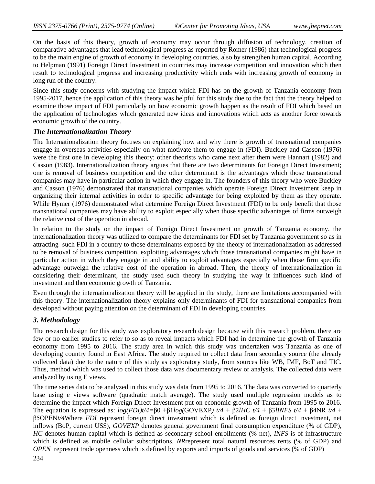On the basis of this theory, growth of economy may occur through diffusion of technology, creation of comparative advantages that lead technological progress as reported by Romer (1986) that technological progress to be the main engine of growth of economy in developing countries, also by strengthen human capital. According to Helpman (1991) Foreign Direct Investment in countries may increase competition and innovation which then result to technological progress and increasing productivity which ends with increasing growth of economy in long run of the country.

Since this study concerns with studying the impact which FDI has on the growth of Tanzania economy from 1995-2017, hence the application of this theory was helpful for this study due to the fact that the theory helped to examine those impact of FDI particularly on how economic growth happen as the result of FDI which based on the application of technologies which generated new ideas and innovations which acts as another force towards economic growth of the country.

# *The Internationalization Theory*

The Internationalization theory focuses on explaining how and why there is growth of transnational companies engage in overseas activities especially on what motivate them to engage in (FDI). Buckley and Casson (1976) were the first one in developing this theory; other theorists who came next after them were Hannart (1982) and Casson (1983). Internationalization theory argues that there are two determinants for Foreign Direct Investment; one is removal of business competition and the other determinant is the advantages which those transnational companies may have in particular action in which they engage in. The founders of this theory who were Buckley and Casson (1976) demonstrated that transnational companies which operate Foreign Direct Investment keep in organizing their internal activities in order to specific advantage for being exploited by them as they operate. While Hymer (1976) demonstrated what determine Foreign Direct Investment (FDI) to be only benefit that those transnational companies may have ability to exploit especially when those specific advantages of firms outweigh the relative cost of the operation in abroad.

In relation to the study on the impact of Foreign Direct Investment on growth of Tanzania economy, the internationalization theory was utilized to compare the determinants for FDI set by Tanzania government so as in attracting such FDI in a country to those determinants exposed by the theory of internationalization as addressed to be removal of business competition, exploiting advantages which those transnational companies might have in particular action in which they engage in and ability to exploit advantages especially when those firm specific advantage outweigh the relative cost of the operation in abroad. Then, the theory of internationalization in considering their determinant, the study used such theory in studying the way it influences such kind of investment and then economic growth of Tanzania.

Even through the internationalization theory will be applied in the study, there are limitations accompanied with this theory. The internationalization theory explains only determinants of FDI for transnational companies from developed without paying attention on the determinant of FDI in developing countries.

# *3. Methodology*

The research design for this study was exploratory research design because with this research problem, there are few or no earlier studies to refer to so as to reveal impacts which FDI had in determine the growth of Tanzania economy from 1995 to 2016. The study area in which this study was undertaken was Tanzania as one of developing country found in East Africa. The study required to collect data from secondary source (the already collected data) due to the nature of this study as exploratory study, from sources like WB, IMF, BoT and TIC. Thus, method which was used to collect those data was documentary review or analysis. The collected data were analyzed by using E views.

The time series data to be analyzed in this study was data from 1995 to 2016. The data was converted to quarterly base using e views software (quadratic match average). The study used multiple regression models as to determine the impact which Foreign Direct Investment put on economic growth of Tanzania from 1995 to 2016. The equation is expressed as: *log(FDI)t/4=*β0 +β1*log(*GOVEXP*) t/4* + β2*lHC t/4* + β3*lINFS t/4* + β4NR *t/4* + β5OPEN*t/4*Where *FDI* represent foreign direct investment which is defined as foreign direct investment, net inflows (BoP, current US\$), *GOVEXP* denotes general government final consumption expenditure (% of GDP), *HC* denotes human capital which is defined as secondary school enrollments (% net), *INFS* is of infrastructure which is defined as mobile cellular subscriptions, *NR*represent total natural resources rents (% of GDP) and *OPEN* represent trade openness which is defined by exports and imports of goods and services (% of GDP)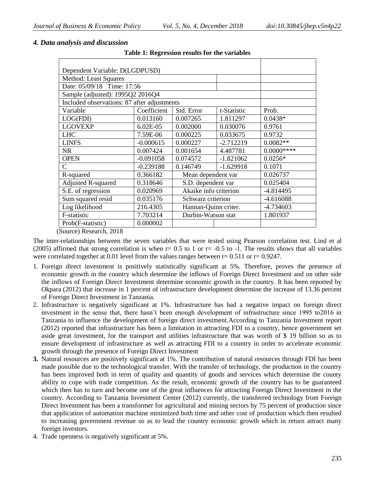| Dependent Variable: D(LGDPUSD)              |             |                       |             |             |
|---------------------------------------------|-------------|-----------------------|-------------|-------------|
|                                             |             |                       |             |             |
| Method: Least Squares                       |             |                       |             |             |
| Date: 05/09/18 Time: 17:56                  |             |                       |             |             |
| Sample (adjusted): 1995Q2 2016Q4            |             |                       |             |             |
| Included observations: 87 after adjustments |             |                       |             |             |
| Variable                                    | Coefficient | Std. Error            | t-Statistic | Prob.       |
| LOG(FDI)                                    | 0.013160    | 0.007265              | 1.811297    | $0.0438*$   |
| <b>LGOVEXP</b>                              | 6.02E-05    | 0.002000              | 0.030076    | 0.9761      |
| <b>LHC</b>                                  | 7.59E-06    | 0.000225              | 0.033675    | 0.9732      |
| <b>LINFS</b>                                | $-0.000615$ | 0.000227              | $-2.712219$ | $0.0082**$  |
| <b>NR</b>                                   | 0.007424    | 0.001654              | 4.487781    | $0.0000***$ |
| <b>OPEN</b>                                 | $-0.091058$ | 0.074572              | $-1.821062$ | $0.0256*$   |
| C                                           | $-0.239188$ | 0.146749              | $-1.629918$ | 0.1071      |
| R-squared                                   | 0.366182    | Mean dependent var    |             | 0.026737    |
| <b>Adjusted R-squared</b>                   | 0.318646    | S.D. dependent var    |             | 0.025404    |
| S.E. of regression                          | 0.020969    | Akaike info criterion |             | $-4.814495$ |
| Sum squared resid                           | 0.035176    | Schwarz criterion     |             | $-4.616088$ |
| Log likelihood                              | 216.4305    | Hannan-Quinn criter.  |             | -4.734603   |
| F-statistic                                 | 7.703214    | Durbin-Watson stat    |             | 1.801937    |
| Prob(F-statistic)                           | 0.000002    |                       |             |             |
| $(0, \ldots, N, n, \ldots, 1, 0.010)$       |             |                       |             |             |

### *4. Data analysis and discussion*

**Table 1: Regression results for the variables**

(Source) Research, 2018

The inter-relationships between the seven variables that were tested using Pearson correlation test. Lind et al (2005) affirmed that strong correlation is when  $r= 0.5$  to 1 or  $r=-0.5$  to -1. The results shows that all variables were correlated together at 0.01 level from the values ranges between  $r = 0.511$  or  $r = 0.9247$ .

- 1. Foreign direct investment is positively statistically significant at 5%. Therefore, proves the presence of economic growth in the country which determine the inflows of Foreign Direct Investment and on other side the inflows of Foreign Direct Investment determine economic growth in the country. It has been reported by Okpara (2012) that increase in 1 percent of infrastructure development determine the increase of 13.36 percent of Foreign Direct Investment in Tanzania.
- 2. Infrastructure is negatively significant at 1%. Infrastructure has had a negative impact on foreign direct investment in the sense that, there hasn't been enough development of infrastructure since 1995 to2016 in Tanzania to influence the development of foreign direct investment.According to Tanzania Investment report (2012) reported that infrastructure has been a limitation in attracting FDI to a country, hence government set aside great investment, for the transport and utilities infrastructure that was worth of \$ 19 billion so as to ensure development of infrastructure as well as attracting FDI to a country in order to accelerate economic growth through the presence of Foreign Direct Investment
- **3.** Natural resources are positively significant at 1%. The contribution of natural resources through FDI has been made possible due to the technological transfer. With the transfer of technology, the production in the country has been improved both in term of quality and quantity of goods and services which determine the county ability to cope with trade competition. As the result, economic growth of the country has to be guaranteed which then has to turn and become one of the great influences for attracting Foreign Direct Investment in the country. According to Tanzania Investment Center (2012) currently, the transferred technology from Foreign Direct Investment has been a transformer for agricultural and mining sectors by 75 percent of production since that application of automation machine minimized both time and other cost of production which then resulted to increasing government revenue so as to lead the country economic growth which in return attract many foreign investors.
- 4. Trade openness is negatively significant at 5%.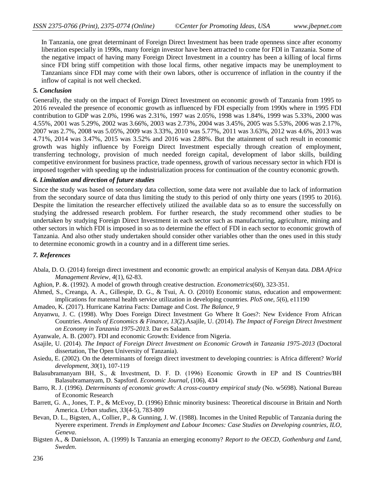In Tanzania, one great determinant of Foreign Direct Investment has been trade openness since after economy liberation especially in 1990s, many foreign investor have been attracted to come for FDI in Tanzania. Some of the negative impact of having many Foreign Direct Investment in a country has been a killing of local firms since FDI bring stiff competition with those local firms, other negative impacts may be unemployment to Tanzanians since FDI may come with their own labors, other is occurrence of inflation in the country if the inflow of capital is not well checked.

### *5. Conclusion*

Generally, the study on the impact of Foreign Direct Investment on economic growth of Tanzania from 1995 to 2016 revealed the presence of economic growth as influenced by FDI especially from 1990s where in 1995 FDI contribution to GDP was 2.0%, 1996 was 2.31%, 1997 was 2.05%, 1998 was 1.84%, 1999 was 5.33%, 2000 was 4.55%, 2001 was 5.29%, 2002 was 3.66%, 2003 was 2.73%, 2004 was 3.45%, 2005 was 5.53%, 2006 was 2.17%, 2007 was 2.7%, 2008 was 5.05%, 2009 was 3.33%, 2010 was 5.77%, 2011 was 3.63%, 2012 was 4.6%, 2013 was 4.71%, 2014 was 3.47%, 2015 was 3.52% and 2016 was 2.88%. But the attainment of such result in economic growth was highly influence by Foreign Direct Investment especially through creation of employment, transferring technology, provision of much needed foreign capital, development of labor skills, building competitive environment for business practice, trade openness, growth of various necessary sector in which FDI is imposed together with speeding up the industrialization process for continuation of the country economic growth.

#### *6. Limitation and direction of future studies*

Since the study was based on secondary data collection, some data were not available due to lack of information from the secondary source of data thus limiting the study to this period of only thirty one years (1995 to 2016). Despite the limitation the researcher effectively utilized the available data so as to ensure the successfully on studying the addressed research problem. For further research, the study recommend other studies to be undertaken by studying Foreign Direct Investment in each sector such as manufacturing, agriculture, mining and other sectors in which FDI is imposed in so as to determine the effect of FDI in each sector to economic growth of Tanzania. And also other study undertaken should consider other variables other than the ones used in this study to determine economic growth in a country and in a different time series.

### *7. References*

- Abala, D. O. (2014) foreign direct investment and economic growth: an empirical analysis of Kenyan data. *DBA Africa Management Review*, *4*(1), 62-83.
- Aghion, P. &. (1992). A model of growth through creative destruction. *Econometrics*(60), 323-351.
- Ahmed, S., Creanga, A. A., Gillespie, D. G., & Tsui, A. O. (2010) Economic status, education and empowerment: implications for maternal health service utilization in developing countries. *PloS one*, *5*(6), e11190
- Amadeo, K. (2017). Hurricane Katrina Facts: Damage and Cost. *The Balance*, *9*
- Anyanwu, J. C. (1998). Why Does Foreign Direct Investment Go Where It Goes?: New Evidence From African Countries. *Annals of Economics & Finance*, *13*(2).Asajile, U. (2014). *The Impact of Foreign Direct Investment on Economy in Tanzania 1975-2013.* Dar es Salaam.
- Ayanwale, A. B. (2007). FDI and economic Growth: Evidence from Nigeria.
- Asajile, U. (2014). *The Impact of Foreign Direct Investment on Economic Growth in Tanzania 1975-2013* (Doctoral dissertation, The Open University of Tanzania).
- Asiedu, E. (2002). On the determinants of foreign direct investment to developing countries: is Africa different? *World development*, *30*(1), 107-119
- Balasubramanyam BH, S., & Investment, D. F. D. (1996) Economic Growth in EP and IS Countries/BH Balasubramanyam, D. Sapsford. *Economic Journal*, (106), 434
- Barro, R. J. (1996). *Determinants of economic growth: A cross-country empirical study* (No. w5698). National Bureau of Economic Research
- Barrett, G. A., Jones, T. P., & McEvoy, D. (1996) Ethnic minority business: Theoretical discourse in Britain and North America. *Urban studies*, *33*(4-5), 783-809
- Bevan, D. L., Bigsten, A., Collier, P., & Gunning, J. W. (1988). Incomes in the United Republic of Tanzania during the Nyerere experiment. *Trends in Employment and Labour Incomes: Case Studies on Developing countries, ILO, Geneva*.
- Bigsten A., & Danielsson, A. (1999) Is Tanzania an emerging economy? *Report to the OECD, Gothenburg and Lund, Sweden*.